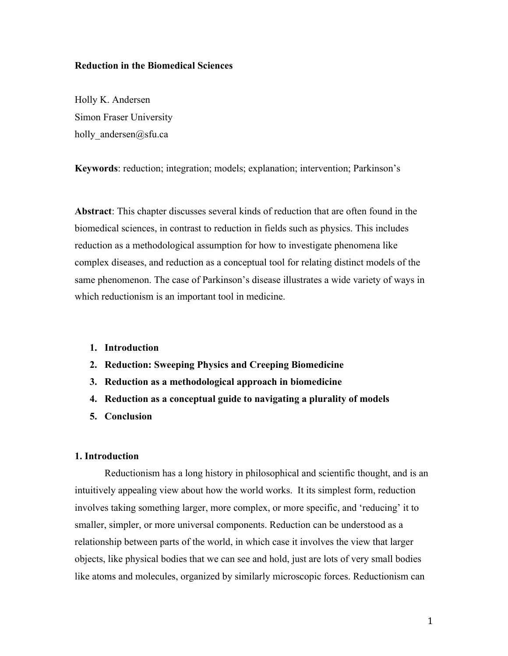# **Reduction in the Biomedical Sciences**

Holly K. Andersen Simon Fraser University holly andersen@sfu.ca

**Keywords**: reduction; integration; models; explanation; intervention; Parkinson's

**Abstract**: This chapter discusses several kinds of reduction that are often found in the biomedical sciences, in contrast to reduction in fields such as physics. This includes reduction as a methodological assumption for how to investigate phenomena like complex diseases, and reduction as a conceptual tool for relating distinct models of the same phenomenon. The case of Parkinson's disease illustrates a wide variety of ways in which reductionism is an important tool in medicine.

- **1. Introduction**
- **2. Reduction: Sweeping Physics and Creeping Biomedicine**
- **3. Reduction as a methodological approach in biomedicine**
- **4. Reduction as a conceptual guide to navigating a plurality of models**
- **5. Conclusion**

# **1. Introduction**

Reductionism has a long history in philosophical and scientific thought, and is an intuitively appealing view about how the world works. It its simplest form, reduction involves taking something larger, more complex, or more specific, and 'reducing' it to smaller, simpler, or more universal components. Reduction can be understood as a relationship between parts of the world, in which case it involves the view that larger objects, like physical bodies that we can see and hold, just are lots of very small bodies like atoms and molecules, organized by similarly microscopic forces. Reductionism can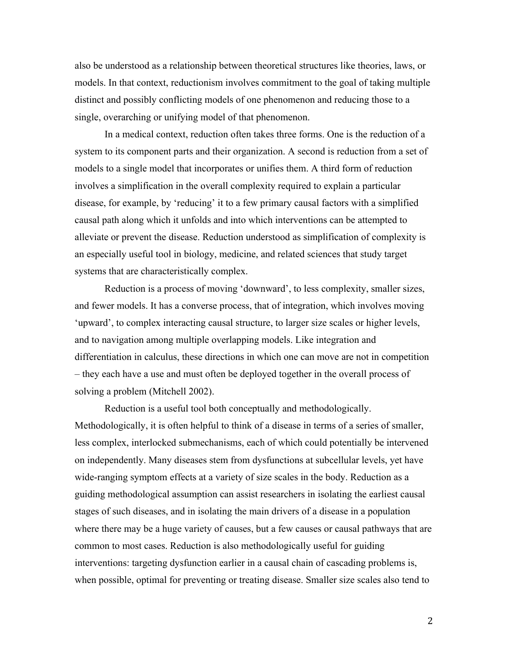also be understood as a relationship between theoretical structures like theories, laws, or models. In that context, reductionism involves commitment to the goal of taking multiple distinct and possibly conflicting models of one phenomenon and reducing those to a single, overarching or unifying model of that phenomenon.

In a medical context, reduction often takes three forms. One is the reduction of a system to its component parts and their organization. A second is reduction from a set of models to a single model that incorporates or unifies them. A third form of reduction involves a simplification in the overall complexity required to explain a particular disease, for example, by 'reducing' it to a few primary causal factors with a simplified causal path along which it unfolds and into which interventions can be attempted to alleviate or prevent the disease. Reduction understood as simplification of complexity is an especially useful tool in biology, medicine, and related sciences that study target systems that are characteristically complex.

Reduction is a process of moving 'downward', to less complexity, smaller sizes, and fewer models. It has a converse process, that of integration, which involves moving 'upward', to complex interacting causal structure, to larger size scales or higher levels, and to navigation among multiple overlapping models. Like integration and differentiation in calculus, these directions in which one can move are not in competition – they each have a use and must often be deployed together in the overall process of solving a problem (Mitchell 2002).

Reduction is a useful tool both conceptually and methodologically. Methodologically, it is often helpful to think of a disease in terms of a series of smaller, less complex, interlocked submechanisms, each of which could potentially be intervened on independently. Many diseases stem from dysfunctions at subcellular levels, yet have wide-ranging symptom effects at a variety of size scales in the body. Reduction as a guiding methodological assumption can assist researchers in isolating the earliest causal stages of such diseases, and in isolating the main drivers of a disease in a population where there may be a huge variety of causes, but a few causes or causal pathways that are common to most cases. Reduction is also methodologically useful for guiding interventions: targeting dysfunction earlier in a causal chain of cascading problems is, when possible, optimal for preventing or treating disease. Smaller size scales also tend to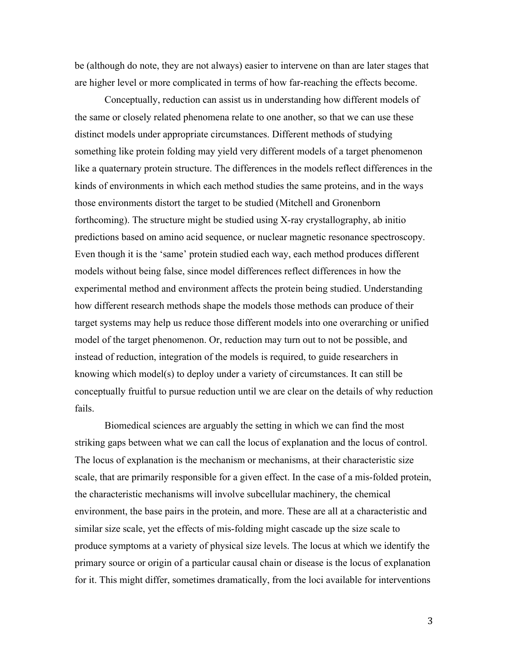be (although do note, they are not always) easier to intervene on than are later stages that are higher level or more complicated in terms of how far-reaching the effects become.

Conceptually, reduction can assist us in understanding how different models of the same or closely related phenomena relate to one another, so that we can use these distinct models under appropriate circumstances. Different methods of studying something like protein folding may yield very different models of a target phenomenon like a quaternary protein structure. The differences in the models reflect differences in the kinds of environments in which each method studies the same proteins, and in the ways those environments distort the target to be studied (Mitchell and Gronenborn forthcoming). The structure might be studied using X-ray crystallography, ab initio predictions based on amino acid sequence, or nuclear magnetic resonance spectroscopy. Even though it is the 'same' protein studied each way, each method produces different models without being false, since model differences reflect differences in how the experimental method and environment affects the protein being studied. Understanding how different research methods shape the models those methods can produce of their target systems may help us reduce those different models into one overarching or unified model of the target phenomenon. Or, reduction may turn out to not be possible, and instead of reduction, integration of the models is required, to guide researchers in knowing which model(s) to deploy under a variety of circumstances. It can still be conceptually fruitful to pursue reduction until we are clear on the details of why reduction fails.

Biomedical sciences are arguably the setting in which we can find the most striking gaps between what we can call the locus of explanation and the locus of control. The locus of explanation is the mechanism or mechanisms, at their characteristic size scale, that are primarily responsible for a given effect. In the case of a mis-folded protein, the characteristic mechanisms will involve subcellular machinery, the chemical environment, the base pairs in the protein, and more. These are all at a characteristic and similar size scale, yet the effects of mis-folding might cascade up the size scale to produce symptoms at a variety of physical size levels. The locus at which we identify the primary source or origin of a particular causal chain or disease is the locus of explanation for it. This might differ, sometimes dramatically, from the loci available for interventions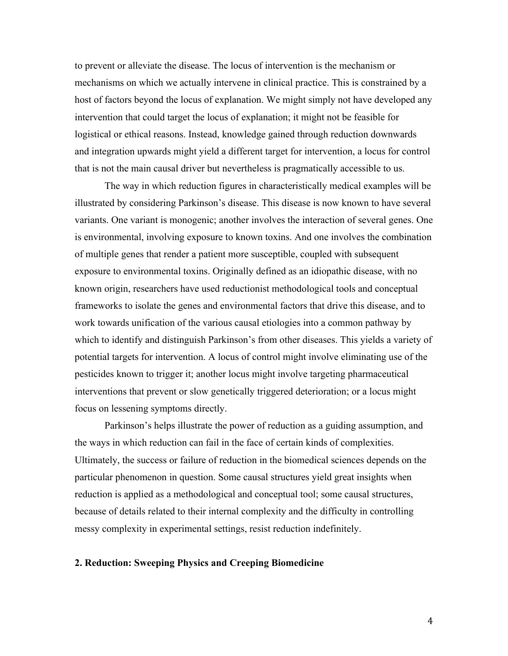to prevent or alleviate the disease. The locus of intervention is the mechanism or mechanisms on which we actually intervene in clinical practice. This is constrained by a host of factors beyond the locus of explanation. We might simply not have developed any intervention that could target the locus of explanation; it might not be feasible for logistical or ethical reasons. Instead, knowledge gained through reduction downwards and integration upwards might yield a different target for intervention, a locus for control that is not the main causal driver but nevertheless is pragmatically accessible to us.

The way in which reduction figures in characteristically medical examples will be illustrated by considering Parkinson's disease. This disease is now known to have several variants. One variant is monogenic; another involves the interaction of several genes. One is environmental, involving exposure to known toxins. And one involves the combination of multiple genes that render a patient more susceptible, coupled with subsequent exposure to environmental toxins. Originally defined as an idiopathic disease, with no known origin, researchers have used reductionist methodological tools and conceptual frameworks to isolate the genes and environmental factors that drive this disease, and to work towards unification of the various causal etiologies into a common pathway by which to identify and distinguish Parkinson's from other diseases. This yields a variety of potential targets for intervention. A locus of control might involve eliminating use of the pesticides known to trigger it; another locus might involve targeting pharmaceutical interventions that prevent or slow genetically triggered deterioration; or a locus might focus on lessening symptoms directly.

Parkinson's helps illustrate the power of reduction as a guiding assumption, and the ways in which reduction can fail in the face of certain kinds of complexities. Ultimately, the success or failure of reduction in the biomedical sciences depends on the particular phenomenon in question. Some causal structures yield great insights when reduction is applied as a methodological and conceptual tool; some causal structures, because of details related to their internal complexity and the difficulty in controlling messy complexity in experimental settings, resist reduction indefinitely.

### **2. Reduction: Sweeping Physics and Creeping Biomedicine**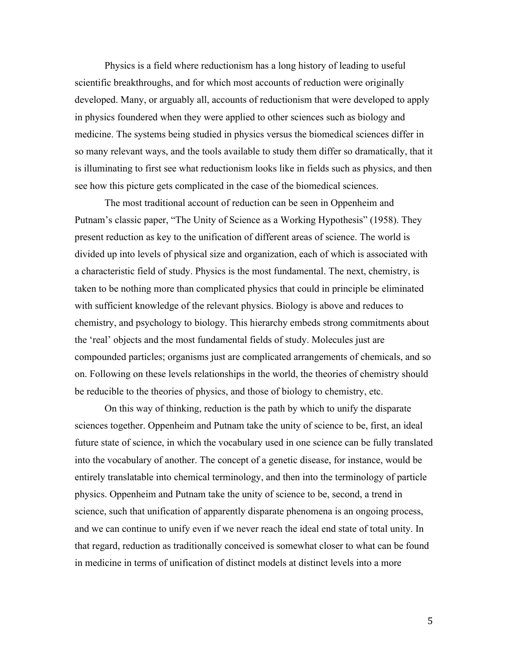Physics is a field where reductionism has a long history of leading to useful scientific breakthroughs, and for which most accounts of reduction were originally developed. Many, or arguably all, accounts of reductionism that were developed to apply in physics foundered when they were applied to other sciences such as biology and medicine. The systems being studied in physics versus the biomedical sciences differ in so many relevant ways, and the tools available to study them differ so dramatically, that it is illuminating to first see what reductionism looks like in fields such as physics, and then see how this picture gets complicated in the case of the biomedical sciences.

The most traditional account of reduction can be seen in Oppenheim and Putnam's classic paper, "The Unity of Science as a Working Hypothesis" (1958). They present reduction as key to the unification of different areas of science. The world is divided up into levels of physical size and organization, each of which is associated with a characteristic field of study. Physics is the most fundamental. The next, chemistry, is taken to be nothing more than complicated physics that could in principle be eliminated with sufficient knowledge of the relevant physics. Biology is above and reduces to chemistry, and psychology to biology. This hierarchy embeds strong commitments about the 'real' objects and the most fundamental fields of study. Molecules just are compounded particles; organisms just are complicated arrangements of chemicals, and so on. Following on these levels relationships in the world, the theories of chemistry should be reducible to the theories of physics, and those of biology to chemistry, etc.

On this way of thinking, reduction is the path by which to unify the disparate sciences together. Oppenheim and Putnam take the unity of science to be, first, an ideal future state of science, in which the vocabulary used in one science can be fully translated into the vocabulary of another. The concept of a genetic disease, for instance, would be entirely translatable into chemical terminology, and then into the terminology of particle physics. Oppenheim and Putnam take the unity of science to be, second, a trend in science, such that unification of apparently disparate phenomena is an ongoing process, and we can continue to unify even if we never reach the ideal end state of total unity. In that regard, reduction as traditionally conceived is somewhat closer to what can be found in medicine in terms of unification of distinct models at distinct levels into a more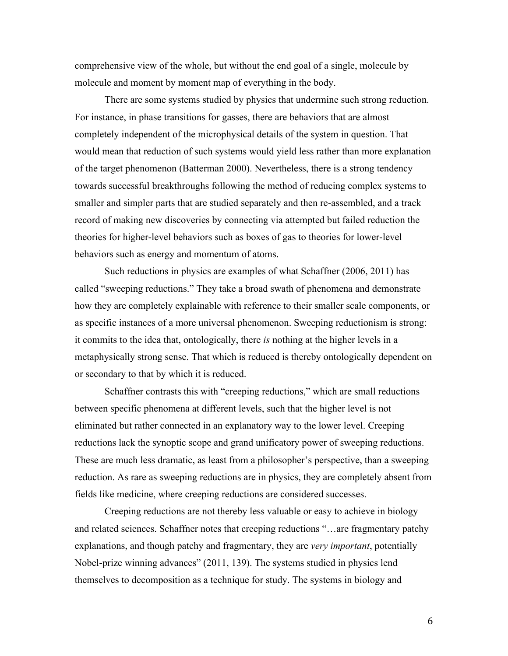comprehensive view of the whole, but without the end goal of a single, molecule by molecule and moment by moment map of everything in the body.

There are some systems studied by physics that undermine such strong reduction. For instance, in phase transitions for gasses, there are behaviors that are almost completely independent of the microphysical details of the system in question. That would mean that reduction of such systems would yield less rather than more explanation of the target phenomenon (Batterman 2000). Nevertheless, there is a strong tendency towards successful breakthroughs following the method of reducing complex systems to smaller and simpler parts that are studied separately and then re-assembled, and a track record of making new discoveries by connecting via attempted but failed reduction the theories for higher-level behaviors such as boxes of gas to theories for lower-level behaviors such as energy and momentum of atoms.

Such reductions in physics are examples of what Schaffner (2006, 2011) has called "sweeping reductions." They take a broad swath of phenomena and demonstrate how they are completely explainable with reference to their smaller scale components, or as specific instances of a more universal phenomenon. Sweeping reductionism is strong: it commits to the idea that, ontologically, there *is* nothing at the higher levels in a metaphysically strong sense. That which is reduced is thereby ontologically dependent on or secondary to that by which it is reduced.

Schaffner contrasts this with "creeping reductions," which are small reductions between specific phenomena at different levels, such that the higher level is not eliminated but rather connected in an explanatory way to the lower level. Creeping reductions lack the synoptic scope and grand unificatory power of sweeping reductions. These are much less dramatic, as least from a philosopher's perspective, than a sweeping reduction. As rare as sweeping reductions are in physics, they are completely absent from fields like medicine, where creeping reductions are considered successes.

Creeping reductions are not thereby less valuable or easy to achieve in biology and related sciences. Schaffner notes that creeping reductions "…are fragmentary patchy explanations, and though patchy and fragmentary, they are *very important*, potentially Nobel-prize winning advances" (2011, 139). The systems studied in physics lend themselves to decomposition as a technique for study. The systems in biology and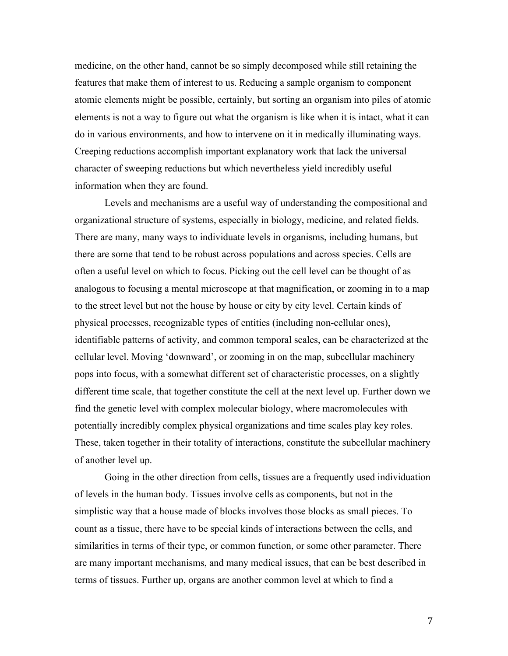medicine, on the other hand, cannot be so simply decomposed while still retaining the features that make them of interest to us. Reducing a sample organism to component atomic elements might be possible, certainly, but sorting an organism into piles of atomic elements is not a way to figure out what the organism is like when it is intact, what it can do in various environments, and how to intervene on it in medically illuminating ways. Creeping reductions accomplish important explanatory work that lack the universal character of sweeping reductions but which nevertheless yield incredibly useful information when they are found.

Levels and mechanisms are a useful way of understanding the compositional and organizational structure of systems, especially in biology, medicine, and related fields. There are many, many ways to individuate levels in organisms, including humans, but there are some that tend to be robust across populations and across species. Cells are often a useful level on which to focus. Picking out the cell level can be thought of as analogous to focusing a mental microscope at that magnification, or zooming in to a map to the street level but not the house by house or city by city level. Certain kinds of physical processes, recognizable types of entities (including non-cellular ones), identifiable patterns of activity, and common temporal scales, can be characterized at the cellular level. Moving 'downward', or zooming in on the map, subcellular machinery pops into focus, with a somewhat different set of characteristic processes, on a slightly different time scale, that together constitute the cell at the next level up. Further down we find the genetic level with complex molecular biology, where macromolecules with potentially incredibly complex physical organizations and time scales play key roles. These, taken together in their totality of interactions, constitute the subcellular machinery of another level up.

Going in the other direction from cells, tissues are a frequently used individuation of levels in the human body. Tissues involve cells as components, but not in the simplistic way that a house made of blocks involves those blocks as small pieces. To count as a tissue, there have to be special kinds of interactions between the cells, and similarities in terms of their type, or common function, or some other parameter. There are many important mechanisms, and many medical issues, that can be best described in terms of tissues. Further up, organs are another common level at which to find a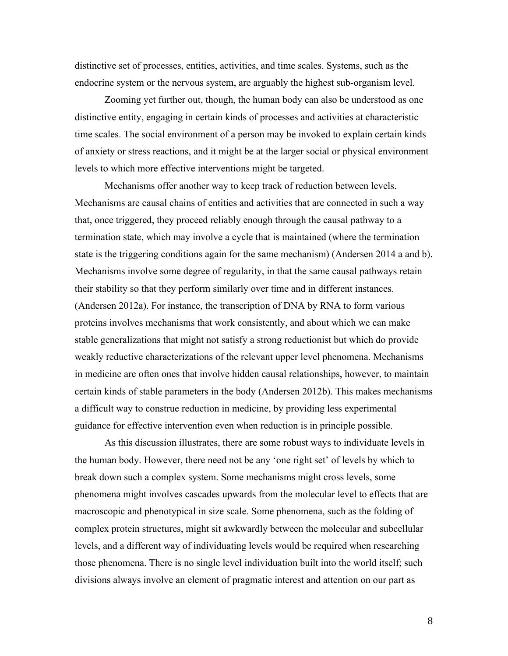distinctive set of processes, entities, activities, and time scales. Systems, such as the endocrine system or the nervous system, are arguably the highest sub-organism level.

Zooming yet further out, though, the human body can also be understood as one distinctive entity, engaging in certain kinds of processes and activities at characteristic time scales. The social environment of a person may be invoked to explain certain kinds of anxiety or stress reactions, and it might be at the larger social or physical environment levels to which more effective interventions might be targeted.

Mechanisms offer another way to keep track of reduction between levels. Mechanisms are causal chains of entities and activities that are connected in such a way that, once triggered, they proceed reliably enough through the causal pathway to a termination state, which may involve a cycle that is maintained (where the termination state is the triggering conditions again for the same mechanism) (Andersen 2014 a and b). Mechanisms involve some degree of regularity, in that the same causal pathways retain their stability so that they perform similarly over time and in different instances. (Andersen 2012a). For instance, the transcription of DNA by RNA to form various proteins involves mechanisms that work consistently, and about which we can make stable generalizations that might not satisfy a strong reductionist but which do provide weakly reductive characterizations of the relevant upper level phenomena. Mechanisms in medicine are often ones that involve hidden causal relationships, however, to maintain certain kinds of stable parameters in the body (Andersen 2012b). This makes mechanisms a difficult way to construe reduction in medicine, by providing less experimental guidance for effective intervention even when reduction is in principle possible.

As this discussion illustrates, there are some robust ways to individuate levels in the human body. However, there need not be any 'one right set' of levels by which to break down such a complex system. Some mechanisms might cross levels, some phenomena might involves cascades upwards from the molecular level to effects that are macroscopic and phenotypical in size scale. Some phenomena, such as the folding of complex protein structures, might sit awkwardly between the molecular and subcellular levels, and a different way of individuating levels would be required when researching those phenomena. There is no single level individuation built into the world itself; such divisions always involve an element of pragmatic interest and attention on our part as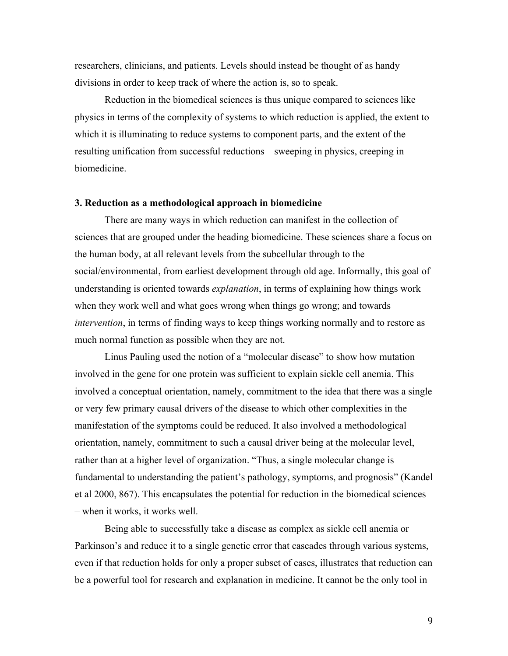researchers, clinicians, and patients. Levels should instead be thought of as handy divisions in order to keep track of where the action is, so to speak.

Reduction in the biomedical sciences is thus unique compared to sciences like physics in terms of the complexity of systems to which reduction is applied, the extent to which it is illuminating to reduce systems to component parts, and the extent of the resulting unification from successful reductions – sweeping in physics, creeping in biomedicine.

#### **3. Reduction as a methodological approach in biomedicine**

There are many ways in which reduction can manifest in the collection of sciences that are grouped under the heading biomedicine. These sciences share a focus on the human body, at all relevant levels from the subcellular through to the social/environmental, from earliest development through old age. Informally, this goal of understanding is oriented towards *explanation*, in terms of explaining how things work when they work well and what goes wrong when things go wrong; and towards *intervention*, in terms of finding ways to keep things working normally and to restore as much normal function as possible when they are not.

Linus Pauling used the notion of a "molecular disease" to show how mutation involved in the gene for one protein was sufficient to explain sickle cell anemia. This involved a conceptual orientation, namely, commitment to the idea that there was a single or very few primary causal drivers of the disease to which other complexities in the manifestation of the symptoms could be reduced. It also involved a methodological orientation, namely, commitment to such a causal driver being at the molecular level, rather than at a higher level of organization. "Thus, a single molecular change is fundamental to understanding the patient's pathology, symptoms, and prognosis" (Kandel et al 2000, 867). This encapsulates the potential for reduction in the biomedical sciences – when it works, it works well.

Being able to successfully take a disease as complex as sickle cell anemia or Parkinson's and reduce it to a single genetic error that cascades through various systems, even if that reduction holds for only a proper subset of cases, illustrates that reduction can be a powerful tool for research and explanation in medicine. It cannot be the only tool in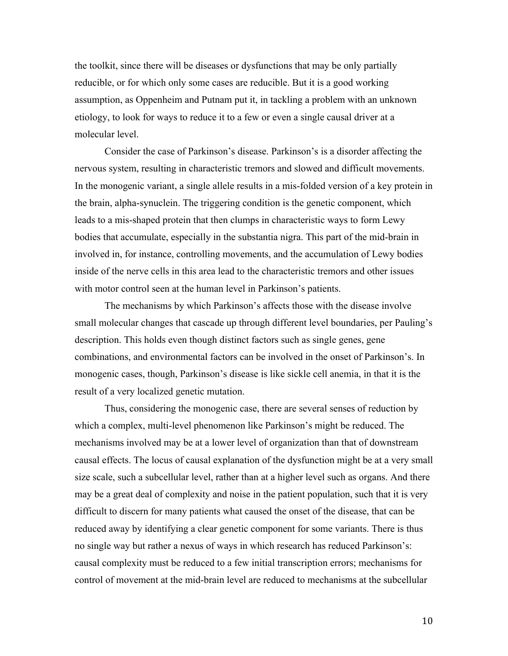the toolkit, since there will be diseases or dysfunctions that may be only partially reducible, or for which only some cases are reducible. But it is a good working assumption, as Oppenheim and Putnam put it, in tackling a problem with an unknown etiology, to look for ways to reduce it to a few or even a single causal driver at a molecular level.

Consider the case of Parkinson's disease. Parkinson's is a disorder affecting the nervous system, resulting in characteristic tremors and slowed and difficult movements. In the monogenic variant, a single allele results in a mis-folded version of a key protein in the brain, alpha-synuclein. The triggering condition is the genetic component, which leads to a mis-shaped protein that then clumps in characteristic ways to form Lewy bodies that accumulate, especially in the substantia nigra. This part of the mid-brain in involved in, for instance, controlling movements, and the accumulation of Lewy bodies inside of the nerve cells in this area lead to the characteristic tremors and other issues with motor control seen at the human level in Parkinson's patients.

The mechanisms by which Parkinson's affects those with the disease involve small molecular changes that cascade up through different level boundaries, per Pauling's description. This holds even though distinct factors such as single genes, gene combinations, and environmental factors can be involved in the onset of Parkinson's. In monogenic cases, though, Parkinson's disease is like sickle cell anemia, in that it is the result of a very localized genetic mutation.

Thus, considering the monogenic case, there are several senses of reduction by which a complex, multi-level phenomenon like Parkinson's might be reduced. The mechanisms involved may be at a lower level of organization than that of downstream causal effects. The locus of causal explanation of the dysfunction might be at a very small size scale, such a subcellular level, rather than at a higher level such as organs. And there may be a great deal of complexity and noise in the patient population, such that it is very difficult to discern for many patients what caused the onset of the disease, that can be reduced away by identifying a clear genetic component for some variants. There is thus no single way but rather a nexus of ways in which research has reduced Parkinson's: causal complexity must be reduced to a few initial transcription errors; mechanisms for control of movement at the mid-brain level are reduced to mechanisms at the subcellular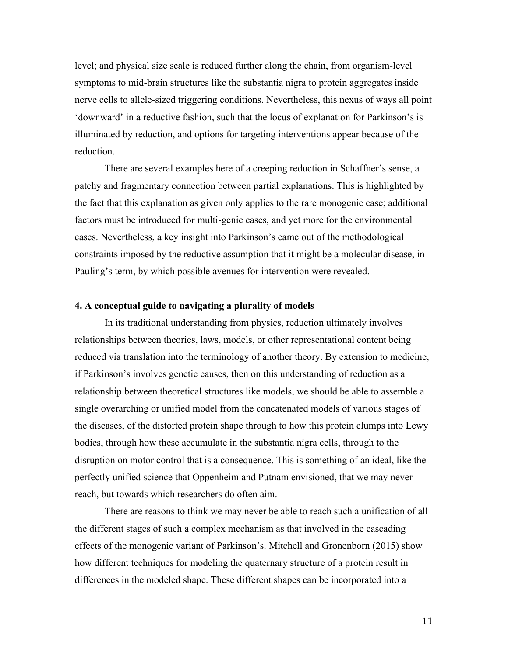level; and physical size scale is reduced further along the chain, from organism-level symptoms to mid-brain structures like the substantia nigra to protein aggregates inside nerve cells to allele-sized triggering conditions. Nevertheless, this nexus of ways all point 'downward' in a reductive fashion, such that the locus of explanation for Parkinson's is illuminated by reduction, and options for targeting interventions appear because of the reduction.

There are several examples here of a creeping reduction in Schaffner's sense, a patchy and fragmentary connection between partial explanations. This is highlighted by the fact that this explanation as given only applies to the rare monogenic case; additional factors must be introduced for multi-genic cases, and yet more for the environmental cases. Nevertheless, a key insight into Parkinson's came out of the methodological constraints imposed by the reductive assumption that it might be a molecular disease, in Pauling's term, by which possible avenues for intervention were revealed.

## **4. A conceptual guide to navigating a plurality of models**

In its traditional understanding from physics, reduction ultimately involves relationships between theories, laws, models, or other representational content being reduced via translation into the terminology of another theory. By extension to medicine, if Parkinson's involves genetic causes, then on this understanding of reduction as a relationship between theoretical structures like models, we should be able to assemble a single overarching or unified model from the concatenated models of various stages of the diseases, of the distorted protein shape through to how this protein clumps into Lewy bodies, through how these accumulate in the substantia nigra cells, through to the disruption on motor control that is a consequence. This is something of an ideal, like the perfectly unified science that Oppenheim and Putnam envisioned, that we may never reach, but towards which researchers do often aim.

There are reasons to think we may never be able to reach such a unification of all the different stages of such a complex mechanism as that involved in the cascading effects of the monogenic variant of Parkinson's. Mitchell and Gronenborn (2015) show how different techniques for modeling the quaternary structure of a protein result in differences in the modeled shape. These different shapes can be incorporated into a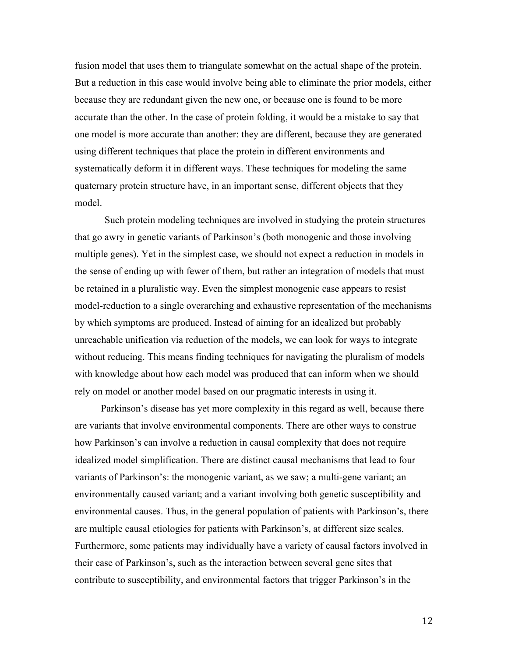fusion model that uses them to triangulate somewhat on the actual shape of the protein. But a reduction in this case would involve being able to eliminate the prior models, either because they are redundant given the new one, or because one is found to be more accurate than the other. In the case of protein folding, it would be a mistake to say that one model is more accurate than another: they are different, because they are generated using different techniques that place the protein in different environments and systematically deform it in different ways. These techniques for modeling the same quaternary protein structure have, in an important sense, different objects that they model.

Such protein modeling techniques are involved in studying the protein structures that go awry in genetic variants of Parkinson's (both monogenic and those involving multiple genes). Yet in the simplest case, we should not expect a reduction in models in the sense of ending up with fewer of them, but rather an integration of models that must be retained in a pluralistic way. Even the simplest monogenic case appears to resist model-reduction to a single overarching and exhaustive representation of the mechanisms by which symptoms are produced. Instead of aiming for an idealized but probably unreachable unification via reduction of the models, we can look for ways to integrate without reducing. This means finding techniques for navigating the pluralism of models with knowledge about how each model was produced that can inform when we should rely on model or another model based on our pragmatic interests in using it.

Parkinson's disease has yet more complexity in this regard as well, because there are variants that involve environmental components. There are other ways to construe how Parkinson's can involve a reduction in causal complexity that does not require idealized model simplification. There are distinct causal mechanisms that lead to four variants of Parkinson's: the monogenic variant, as we saw; a multi-gene variant; an environmentally caused variant; and a variant involving both genetic susceptibility and environmental causes. Thus, in the general population of patients with Parkinson's, there are multiple causal etiologies for patients with Parkinson's, at different size scales. Furthermore, some patients may individually have a variety of causal factors involved in their case of Parkinson's, such as the interaction between several gene sites that contribute to susceptibility, and environmental factors that trigger Parkinson's in the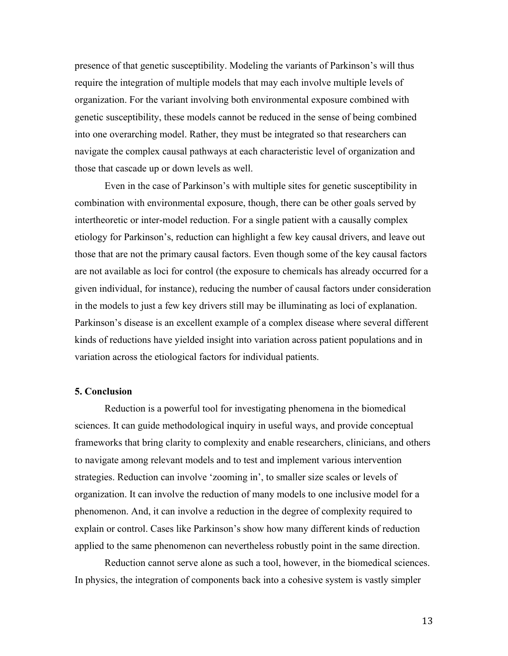presence of that genetic susceptibility. Modeling the variants of Parkinson's will thus require the integration of multiple models that may each involve multiple levels of organization. For the variant involving both environmental exposure combined with genetic susceptibility, these models cannot be reduced in the sense of being combined into one overarching model. Rather, they must be integrated so that researchers can navigate the complex causal pathways at each characteristic level of organization and those that cascade up or down levels as well.

Even in the case of Parkinson's with multiple sites for genetic susceptibility in combination with environmental exposure, though, there can be other goals served by intertheoretic or inter-model reduction. For a single patient with a causally complex etiology for Parkinson's, reduction can highlight a few key causal drivers, and leave out those that are not the primary causal factors. Even though some of the key causal factors are not available as loci for control (the exposure to chemicals has already occurred for a given individual, for instance), reducing the number of causal factors under consideration in the models to just a few key drivers still may be illuminating as loci of explanation. Parkinson's disease is an excellent example of a complex disease where several different kinds of reductions have yielded insight into variation across patient populations and in variation across the etiological factors for individual patients.

#### **5. Conclusion**

Reduction is a powerful tool for investigating phenomena in the biomedical sciences. It can guide methodological inquiry in useful ways, and provide conceptual frameworks that bring clarity to complexity and enable researchers, clinicians, and others to navigate among relevant models and to test and implement various intervention strategies. Reduction can involve 'zooming in', to smaller size scales or levels of organization. It can involve the reduction of many models to one inclusive model for a phenomenon. And, it can involve a reduction in the degree of complexity required to explain or control. Cases like Parkinson's show how many different kinds of reduction applied to the same phenomenon can nevertheless robustly point in the same direction.

Reduction cannot serve alone as such a tool, however, in the biomedical sciences. In physics, the integration of components back into a cohesive system is vastly simpler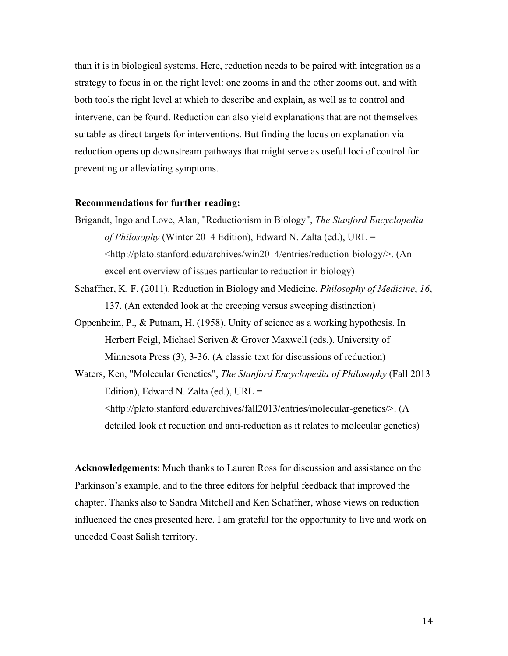than it is in biological systems. Here, reduction needs to be paired with integration as a strategy to focus in on the right level: one zooms in and the other zooms out, and with both tools the right level at which to describe and explain, as well as to control and intervene, can be found. Reduction can also yield explanations that are not themselves suitable as direct targets for interventions. But finding the locus on explanation via reduction opens up downstream pathways that might serve as useful loci of control for preventing or alleviating symptoms.

### **Recommendations for further reading:**

- Brigandt, Ingo and Love, Alan, "Reductionism in Biology", *The Stanford Encyclopedia of Philosophy* (Winter 2014 Edition), Edward N. Zalta (ed.), URL = <http://plato.stanford.edu/archives/win2014/entries/reduction-biology/>. (An excellent overview of issues particular to reduction in biology)
- Schaffner, K. F. (2011). Reduction in Biology and Medicine. *Philosophy of Medicine*, *16*, 137. (An extended look at the creeping versus sweeping distinction)
- Oppenheim, P., & Putnam, H. (1958). Unity of science as a working hypothesis. In Herbert Feigl, Michael Scriven & Grover Maxwell (eds.). University of Minnesota Press (3), 3-36. (A classic text for discussions of reduction)

Waters, Ken, "Molecular Genetics", *The Stanford Encyclopedia of Philosophy* (Fall 2013 Edition), Edward N. Zalta (ed.),  $URL =$ 

<http://plato.stanford.edu/archives/fall2013/entries/molecular-genetics/>. (A detailed look at reduction and anti-reduction as it relates to molecular genetics)

**Acknowledgements**: Much thanks to Lauren Ross for discussion and assistance on the Parkinson's example, and to the three editors for helpful feedback that improved the chapter. Thanks also to Sandra Mitchell and Ken Schaffner, whose views on reduction influenced the ones presented here. I am grateful for the opportunity to live and work on unceded Coast Salish territory.